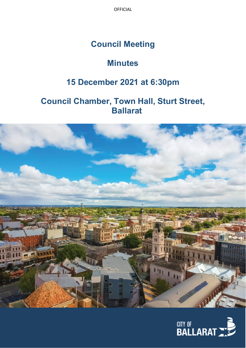OFFICIAL

# **Council Meeting**

# **Minutes**

# **15 December 2021 at 6:30pm**

# **Council Chamber, Town Hall, Sturt Street, Ballarat**



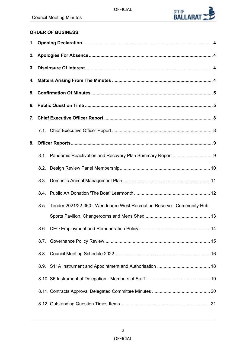

# **ORDER OF BUSINESS:**

| 5. |      |                                                                         |  |
|----|------|-------------------------------------------------------------------------|--|
|    |      |                                                                         |  |
| 7. |      |                                                                         |  |
|    |      |                                                                         |  |
| 8. |      |                                                                         |  |
|    |      |                                                                         |  |
|    |      |                                                                         |  |
|    | 8.3. |                                                                         |  |
|    |      |                                                                         |  |
|    | 8.5. | Tender 2021/22-360 - Wendouree West Recreation Reserve - Community Hub, |  |
|    |      |                                                                         |  |
|    |      |                                                                         |  |
|    | 8.7. |                                                                         |  |
|    |      |                                                                         |  |
|    |      |                                                                         |  |
|    |      |                                                                         |  |
|    |      |                                                                         |  |
|    |      |                                                                         |  |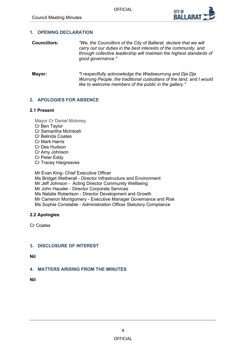

# <span id="page-3-0"></span>**1. OPENING DECLARATION**

- **Councillors:** *"We, the Councillors of the City of Ballarat, declare that we will carry out our duties in the best interests of the community, and through collective leadership will maintain the highest standards of good governance."*
- **Mayor:** *"I respectfully acknowledge the Wadawurrung and Dja Dja Wurrung People, the traditional custodians of the land, and I would like to welcome members of the public in the gallery."*

# **2. APOLOGIES FOR ABSENCE**

# **2.1 Present**

Mayor Cr Daniel Moloney Cr Ben Taylor Cr Samantha McIntosh Cr Belinda Coates Cr Mark Harris Cr Des Hudson Cr Amy Johnson Cr Peter Eddy Cr Tracey Hargreaves

Mr Evan King- Chief Executive Officer Ms Bridget Wetherall - Director Infrastructure and Environment Mr Jeff Johnson - Acting Director Community Wellbeing Mr John Hausler - Director Corporate Services Ms Natalie Robertson - Director Development and Growth Mr Cameron Montgomery - Executive Manager Governance and Risk Ms Sophie Constable - Administration Officer Statutory Compliance

# **2.2 Apologies**

Cr Coates

# **3. DISCLOSURE OF INTEREST**

**Nil** 

# **4. MATTERS ARISING FROM THE MINUTES**

**Nil**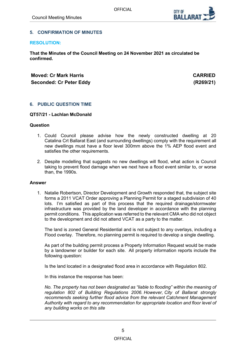

# <span id="page-4-0"></span>**5. CONFIRMATION OF MINUTES**

### **RESOLUTION:**

**That the Minutes of the Council Meeting on 24 November 2021 as circulated be confirmed.**

# **Moved: Cr Mark Harris CARRIED Seconded: Cr Peter Eddy (R269/21)**

# **6. PUBLIC QUESTION TIME**

## **QT57/21 - Lachlan McDonald**

# **Question**

- 1. Could Council please advise how the newly constructed dwelling at 20 Catalina Crt Ballarat East (and surrounding dwellings) comply with the requirement all new dwellings must have a floor level 300mm above the 1% AEP flood event and satisfies the other requirements.
- 2. Despite modelling that suggests no new dwellings will flood, what action is Council taking to prevent flood damage when we next have a flood event similar to, or worse than, the 1990s.

#### **Answer**

1. Natalie Robertson, Director Development and Growth responded that, the subject site forms a 2011 VCAT Order approving a Planning Permit for a staged subdivision of 40 lots. I'm satisfied as part of this process that the required drainage/stormwater infrastructure was provided by the land developer in accordance with the planning permit conditions. This application was referred to the relevant CMA who did not object to the development and did not attend VCAT as a party to the matter.

The land is zoned General Residential and is not subject to any overlays, including a Flood overlay. Therefore, no planning permit is required to develop a single dwelling.

As part of the building permit process a Property Information Request would be made by a landowner or builder for each site. All property information reports include the following question:

Is the land located in a designated flood area in accordance with Regulation 802.

In this instance the response has been:

*No. The property has not been designated as "liable to flooding" within the meaning of regulation 802 of Building Regulations 2006. However, City of Ballarat strongly recommends seeking further flood advice from the relevant Catchment Management Authority with regard to any recommendation for appropriate location and floor level of any building works on this site*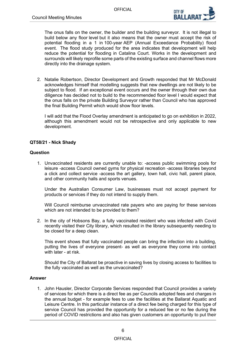

The onus falls on the owner, the builder and the building surveyor. It is not illegal to build below any floor level but it also means that the owner must accept the risk of potential flooding in a 1 in 100-year AEP (Annual Exceedance Probability) flood event. The flood study produced for the area indicates that development will help reduce the potential for flooding in Catalina Court. Works in the development and surrounds will likely reprofile some parts of the existing surface and channel flows more directly into the drainage system.

2. Natalie Robertson, Director Development and Growth responded that Mr McDonald acknowledges himself that modelling suggests that new dwellings are not likely to be subject to flood. If an exceptional event occurs and the owner through their own due diligence has decided not to build to the recommended floor level I would expect that the onus falls on the private Building Surveyor rather than Council who has approved the final Building Permit which would show floor levels.

I will add that the Flood Overlay amendment is anticipated to go on exhibition in 2022, although this amendment would not be retrospective and only applicable to new development.

# **QT58/21 - Nick Shady**

# **Question**

1. Unvaccinated residents are currently unable to: -access public swimming pools for leisure -access Council owned gyms for physical recreation -access libraries beyond a click and collect service -access the art gallery, town hall, civic hall, parent place, and other community halls and sports venues.

Under the Australian Consumer Law, businesses must not accept payment for products or services if they do not intend to supply them.

Will Council reimburse unvaccinated rate payers who are paying for these services which are not intended to be provided to them?

2. In the city of Hobsons Bay, a fully vaccinated resident who was infected with Covid recently visited their City library, which resulted in the library subsequently needing to be closed for a deep clean.

This event shows that fully vaccinated people can bring the infection into a building, putting the lives of everyone present- as well as everyone they come into contact with later - at risk.

Should the City of Ballarat be proactive in saving lives by closing access to facilities to the fully vaccinated as well as the unvaccinated?

# **Answer**

1. John Hausler, Director Corporate Services responded that Council provides a variety of services for which there is a direct fee as per Councils adopted fees and charges in the annual budget - for example fees to use the facilities at the Ballarat Aquatic and Leisure Centre. In this particular instance of a direct fee being charged for this type of service Council has provided the opportunity for a reduced fee or no fee during the period of COVID restrictions and also has given customers an opportunity to put their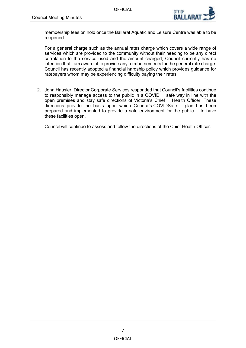

membership fees on hold once the Ballarat Aquatic and Leisure Centre was able to be reopened.

For a general charge such as the annual rates charge which covers a wide range of services which are provided to the community without their needing to be any direct correlation to the service used and the amount charged, Council currently has no intention that I am aware of to provide any reimbursements for the general rate charge. Council has recently adopted a financial hardship policy which provides guidance for ratepayers whom may be experiencing difficulty paying their rates.

2. John Hausler, Director Corporate Services responded that Council's facilities continue to responsibly manage access to the public in a COVID safe way in line with the open premises and stay safe directions of Victoria's Chief Health Officer. These directions provide the basis upon which Council's COVIDSafe plan has been directions provide the basis upon which Council's COVIDSafe prepared and implemented to provide a safe environment for the public to have these facilities open.

Council will continue to assess and follow the directions of the Chief Health Officer.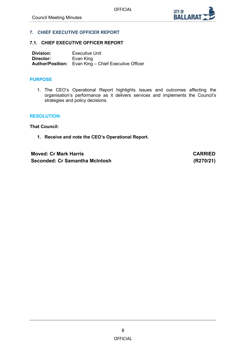

# <span id="page-7-0"></span>**7. CHIEF EXECUTIVE OFFICER REPORT**

## **7.1. CHIEF EXECUTIVE OFFICER REPORT**

**Division:** Executive Unit<br> **Director:** Evan King **Evan King Author/Position:** Evan King – Chief Executive Officer

## **PURPOSE**

1. The CEO's Operational Report highlights issues and outcomes affecting the organisation's performance as it delivers services and implements the Council's strategies and policy decisions.

### **RESOLUTION:**

**That Council:**

**1. Receive and note the CEO's Operational Report.**

**Moved: Cr Mark Harris CARRIED Seconded: Cr Samantha McIntosh (R270/21)**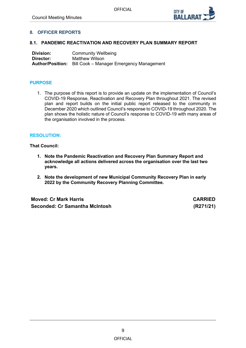

# <span id="page-8-0"></span>**8. OFFICER REPORTS**

## **8.1. PANDEMIC REACTIVATION AND RECOVERY PLAN SUMMARY REPORT**

**Division:** Community Wellbeing<br> **Director:** Matthew Wilson **Matthew Wilson Author/Position:** Bill Cook – Manager Emergency Management

# **PURPOSE**

1. The purpose of this report is to provide an update on the implementation of Council's COVID-19 Response, Reactivation and Recovery Plan throughout 2021. The revised plan and report builds on the initial public report released to the community in December 2020 which outlined Council's response to COVID-19 throughout 2020. The plan shows the holistic nature of Council's response to COVID-19 with many areas of the organisation involved in the process.

## **RESOLUTION:**

## **That Council:**

- **1. Note the Pandemic Reactivation and Recovery Plan Summary Report and acknowledge all actions delivered across the organisation over the last two years.**
- **2. Note the development of new Municipal Community Recovery Plan in early 2022 by the Community Recovery Planning Committee.**

**Moved: Cr Mark Harris CARRIED Seconded: Cr Samantha McIntosh (R271/21)**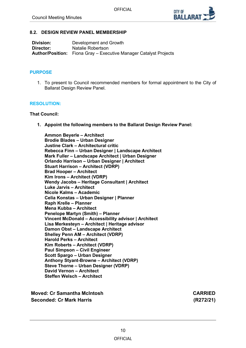

## <span id="page-9-0"></span>**8.2. DESIGN REVIEW PANEL MEMBERSHIP**

| <b>Division:</b> | Development and Growth                                                   |
|------------------|--------------------------------------------------------------------------|
| Director:        | Natalie Robertson                                                        |
|                  | <b>Author/Position:</b> Fiona Gray – Executive Manager Catalyst Projects |

### **PURPOSE**

1. To present to Council recommended members for formal appointment to the City of Ballarat Design Review Panel.

## **RESOLUTION:**

## **That Council:**

**1. Appoint the following members to the Ballarat Design Review Panel:**

**Ammon Beyerle – Architect Brodie Blades – Urban Designer Justine Clark – Architectural critic Rebecca Finn – Urban Designer | Landscape Architect Mark Fuller – Landscape Architect | Urban Designer Orlando Harrison – Urban Designer | Architect Stuart Harrison – Architect (VDRP) Brad Hooper – Architect Kim Irons – Architect (VDRP) Wendy Jacobs – Heritage Consultant | Architect Luke Jarvis – Architect Nicole Kalms – Academic Celia Konstas – Urban Designer | Planner Raph Krelle – Planner Mena Kubba – Architect Penelope Martyn (Smith) – Planner Vincent McDonald – Accessibility advisor | Architect Lisa Merkesteyn – Architect | Heritage advisor Damon Obst – Landscape Architect Shelley Penn AM – Architect (VDRP) Harold Perks – Architect Kim Roberts – Architect (VDRP) Paul Simpson – Civil Engineer Scott Spargo – Urban Designer Anthony Styant-Browne – Architect (VDRP) Steve Thorne – Urban Designer (VDRP) David Vernon – Architect Steffen Welsch – Architect**

**Moved: Cr Samantha McIntosh CARRIED Seconded: Cr Mark Harris (R272/21)**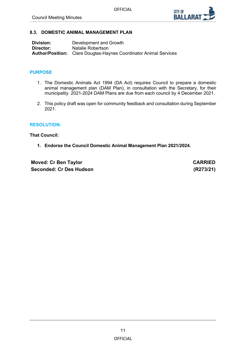

# <span id="page-10-0"></span>**8.3. DOMESTIC ANIMAL MANAGEMENT PLAN**

| <b>Division:</b> | Development and Growth                                                   |
|------------------|--------------------------------------------------------------------------|
| Director:        | Natalie Robertson                                                        |
|                  | <b>Author/Position:</b> Clare Douglas-Haynes Coordinator Animal Services |

## **PURPOSE**

- 1. The Domestic Animals Act 1994 (DA Act) requires Council to prepare a domestic animal management plan (DAM Plan), in consultation with the Secretary, for their municipality. 2021-2024 DAM Plans are due from each council by 4 December 2021.
- 2. This policy draft was open for community feedback and consultation during September 2021.

#### **RESOLUTION:**

**That Council:**

**1. Endorse the Council Domestic Animal Management Plan 2021/2024.**

**Moved: Cr Ben Taylor CARRIED Seconded: Cr Des Hudson (R273/21)**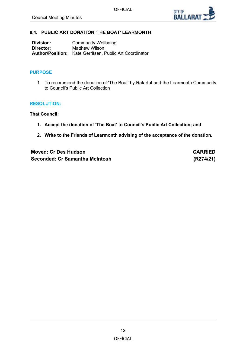

# <span id="page-11-0"></span>**8.4. PUBLIC ART DONATION 'THE BOAT' LEARMONTH**

| Division: | <b>Community Wellbeing</b>                                     |
|-----------|----------------------------------------------------------------|
| Director: | Matthew Wilson                                                 |
|           | <b>Author/Position:</b> Kate Gerritsen, Public Art Coordinator |

## **PURPOSE**

1. To recommend the donation of 'The Boat' by Ratartat and the Learmonth Community to Council's Public Art Collection

## **RESOLUTION:**

**That Council:** 

- **1. Accept the donation of 'The Boat' to Council's Public Art Collection; and**
- **2. Write to the Friends of Learmonth advising of the acceptance of the donation.**

**Moved: Cr Des Hudson CARRIED Seconded: Cr Samantha McIntosh (R274/21)**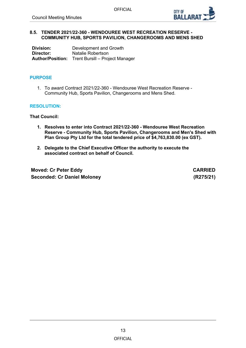

## <span id="page-12-0"></span>**8.5. TENDER 2021/22-360 - WENDOUREE WEST RECREATION RESERVE - COMMUNITY HUB, SPORTS PAVILION, CHANGEROOMS AND MENS SHED**

| Division: | Development and Growth                                  |
|-----------|---------------------------------------------------------|
| Director: | Natalie Robertson                                       |
|           | <b>Author/Position:</b> Trent Bursill – Project Manager |

# **PURPOSE**

1. To award Contract 2021/22-360 - Wendouree West Recreation Reserve - Community Hub, Sports Pavilion, Changerooms and Mens Shed.

# **RESOLUTION:**

**That Council:**

- **1. Resolves to enter into Contract 2021/22-360 - Wendouree West Recreation Reserve - Community Hub, Sports Pavilion, Changerooms and Men's Shed with Plan Group Pty Ltd for the total tendered price of \$4,763,830.00 (ex GST).**
- **2. Delegate to the Chief Executive Officer the authority to execute the associated contract on behalf of Council.**

**Moved: Cr Peter Eddy CARRIED Seconded: Cr Daniel Moloney (R275/21)**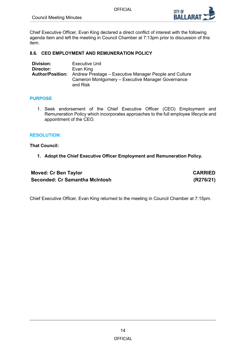

<span id="page-13-0"></span>Chief Executive Officer, Evan King declared a direct conflict of interest with the following agenda item and left the meeting in Council Chamber at 7:13pm prior to discussion of this item.

# **8.6. CEO EMPLOYMENT AND REMUNERATION POLICY**

| <b>Division:</b> | Executive Unit                                                                 |
|------------------|--------------------------------------------------------------------------------|
| Director:        | Evan King                                                                      |
|                  | <b>Author/Position:</b> Andrew Prestage – Executive Manager People and Culture |
|                  | Cameron Montgomery - Executive Manager Governance                              |
|                  | and Risk                                                                       |

# **PURPOSE**

1. Seek endorsement of the Chief Executive Officer (CEO) Employment and Remuneration Policy which incorporates approaches to the full employee lifecycle and appointment of the CEO.

# **RESOLUTION:**

**That Council:**

**1. Adopt the Chief Executive Officer Employment and Remuneration Policy.**

| <b>Moved: Cr Ben Taylor</b>    | <b>CARRIED</b> |
|--------------------------------|----------------|
| Seconded: Cr Samantha McIntosh | (R276/21)      |

Chief Executive Officer, Evan King returned to the meeting in Council Chamber at 7:15pm.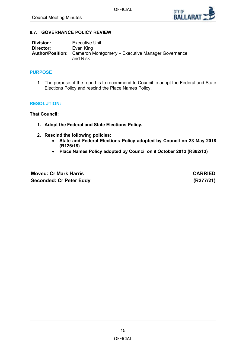

# <span id="page-14-0"></span>**8.7. GOVERNANCE POLICY REVIEW**

| Division: | Executive Unit                                                                        |
|-----------|---------------------------------------------------------------------------------------|
| Director: | Evan King                                                                             |
|           | <b>Author/Position:</b> Cameron Montgomery – Executive Manager Governance<br>and Risk |

## **PURPOSE**

1. The purpose of the report is to recommend to Council to adopt the Federal and State Elections Policy and rescind the Place Names Policy.

## **RESOLUTION:**

**That Council:**

- **1. Adopt the Federal and State Elections Policy.**
- **2. Rescind the following policies:**
	- **State and Federal Elections Policy adopted by Council on 23 May 2018 (R126/18)**
	- **Place Names Policy adopted by Council on 9 October 2013 (R382/13)**

**Moved: Cr Mark Harris CARRIED Seconded: Cr Peter Eddy (R277/21)**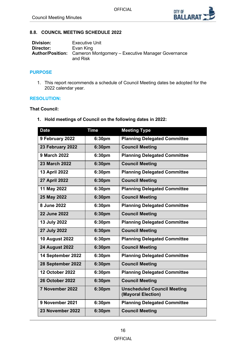

# <span id="page-15-0"></span>**8.8. COUNCIL MEETING SCHEDULE 2022**

| Division: | <b>Executive Unit</b>                                                                 |
|-----------|---------------------------------------------------------------------------------------|
| Director: | Evan King                                                                             |
|           | <b>Author/Position:</b> Cameron Montgomery – Executive Manager Governance<br>and Risk |

## **PURPOSE**

1. This report recommends a schedule of Council Meeting dates be adopted for the 2022 calendar year.

# **RESOLUTION:**

# **That Council:**

**1. Hold meetings of Council on the following dates in 2022:**

| <b>Date</b>            | <b>Time</b>        | <b>Meeting Type</b>                                      |
|------------------------|--------------------|----------------------------------------------------------|
| 9 February 2022        | 6:30pm             | <b>Planning Delegated Committee</b>                      |
| 23 February 2022       | 6:30pm             | <b>Council Meeting</b>                                   |
| 9 March 2022           | 6:30pm             | <b>Planning Delegated Committee</b>                      |
| 23 March 2022          | 6:30pm             | <b>Council Meeting</b>                                   |
| 13 April 2022          | 6:30pm             | <b>Planning Delegated Committee</b>                      |
| <b>27 April 2022</b>   | 6:30pm             | <b>Council Meeting</b>                                   |
| 11 May 2022            | 6:30pm             | <b>Planning Delegated Committee</b>                      |
| 25 May 2022            | 6:30pm             | <b>Council Meeting</b>                                   |
| 8 June 2022            | 6:30pm             | <b>Planning Delegated Committee</b>                      |
| <b>22 June 2022</b>    | 6:30pm             | <b>Council Meeting</b>                                   |
| 13 July 2022           | 6:30pm             | <b>Planning Delegated Committee</b>                      |
| 27 July 2022           | 6:30pm             | <b>Council Meeting</b>                                   |
| <b>10 August 2022</b>  | 6:30pm             | <b>Planning Delegated Committee</b>                      |
| <b>24 August 2022</b>  | 6:30pm             | <b>Council Meeting</b>                                   |
| 14 September 2022      | 6:30pm             | <b>Planning Delegated Committee</b>                      |
| 28 September 2022      | 6:30pm             | <b>Council Meeting</b>                                   |
| <b>12 October 2022</b> | 6:30pm             | <b>Planning Delegated Committee</b>                      |
| <b>26 October 2022</b> | 6:30pm             | <b>Council Meeting</b>                                   |
| 7 November 2022        | 6:30pm             | <b>Unscheduled Council Meeting</b><br>(Mayoral Election) |
| 9 November 2021        | 6:30 <sub>pm</sub> | <b>Planning Delegated Committee</b>                      |
| 23 November 2022       | 6:30pm             | <b>Council Meeting</b>                                   |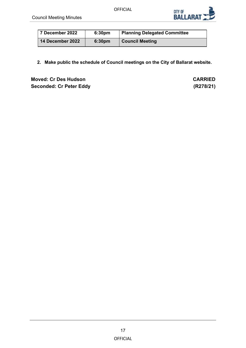

| 7 December 2022  | 6:30 <sub>pm</sub> | <b>Planning Delegated Committee</b> |
|------------------|--------------------|-------------------------------------|
| 14 December 2022 | 6:30 <sub>pm</sub> | <b>Council Meeting</b>              |

**2. Make public the schedule of Council meetings on the City of Ballarat website.**

**Moved: Cr Des Hudson CARRIED Seconded: Cr Peter Eddy (R278/21)**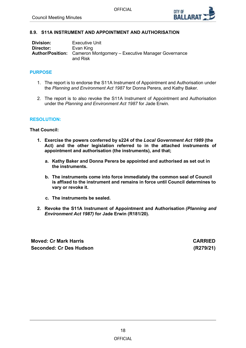

## <span id="page-17-0"></span>**8.9. S11A INSTRUMENT AND APPOINTMENT AND AUTHORISATION**

| Division: | <b>Executive Unit</b>                                                                 |
|-----------|---------------------------------------------------------------------------------------|
| Director: | Evan King                                                                             |
|           | <b>Author/Position:</b> Cameron Montgomery – Executive Manager Governance<br>and Risk |

#### **PURPOSE**

- 1. The report is to endorse the S11A Instrument of Appointment and Authorisation under the *Planning and Environment Act 1987* for Donna Perera, and Kathy Baker.
- 2. The report is to also revoke the S11A Instrument of Appointment and Authorisation under the *Planning and Environment Act 1987* for Jade Erwin.

#### **RESOLUTION:**

### **That Council:**

- **1. Exercise the powers conferred by s224 of the** *Local Government Act 1989* **(the Act) and the other legislation referred to in the attached instruments of appointment and authorisation (the instruments), and that;**
	- **a. Kathy Baker and Donna Perera be appointed and authorised as set out in the instruments.**
	- **b. The instruments come into force immediately the common seal of Council is affixed to the instrument and remains in force until Council determines to vary or revoke it.**
	- **c. The instruments be sealed.**
- **2. Revoke the S11A Instrument of Appointment and Authorisation** *(Planning and Environment Act 1987)* **for Jade Erwin (R181/20).**

**Moved: Cr Mark Harris CARRIED Seconded: Cr Des Hudson (R279/21)**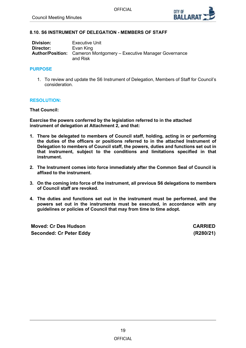

## <span id="page-18-0"></span>**8.10. S6 INSTRUMENT OF DELEGATION - MEMBERS OF STAFF**

| Division: | <b>Executive Unit</b>                                                                 |
|-----------|---------------------------------------------------------------------------------------|
| Director: | Evan King                                                                             |
|           | <b>Author/Position:</b> Cameron Montgomery – Executive Manager Governance<br>and Risk |

### **PURPOSE**

1. To review and update the S6 Instrument of Delegation, Members of Staff for Council's consideration.

## **RESOLUTION:**

**That Council:**

**Exercise the powers conferred by the legislation referred to in the attached instrument of delegation at Attachment 2, and that:**

- **1. There be delegated to members of Council staff, holding, acting in or performing the duties of the officers or positions referred to in the attached Instrument of Delegation to members of Council staff, the powers, duties and functions set out in that instrument, subject to the conditions and limitations specified in that instrument.**
- **2. The Instrument comes into force immediately after the Common Seal of Council is affixed to the instrument.**
- **3. On the coming into force of the instrument, all previous S6 delegations to members of Council staff are revoked.**
- **4. The duties and functions set out in the instrument must be performed, and the powers set out in the instruments must be executed, in accordance with any guidelines or policies of Council that may from time to time adopt.**

**Moved: Cr Des Hudson CARRIED Seconded: Cr Peter Eddy (R280/21)**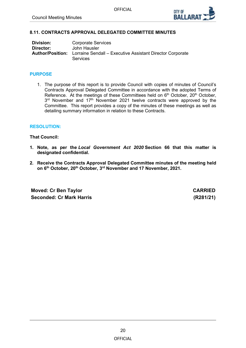

# <span id="page-19-0"></span>**8.11. CONTRACTS APPROVAL DELEGATED COMMITTEE MINUTES**

| Division: | <b>Corporate Services</b>                                                                            |
|-----------|------------------------------------------------------------------------------------------------------|
| Director: | John Hausler                                                                                         |
|           | <b>Author/Position:</b> Lorraine Sendall – Executive Assistant Director Corporate<br><b>Services</b> |

### **PURPOSE**

1. The purpose of this report is to provide Council with copies of minutes of Council's Contracts Approval Delegated Committee in accordance with the adopted Terms of Reference. At the meetings of these Committees held on 6<sup>th</sup> October, 20<sup>th</sup> October, 3<sup>rd</sup> November and 17<sup>th</sup> November 2021 twelve contracts were approved by the Committee. This report provides a copy of the minutes of these meetings as well as detailing summary information in relation to these Contracts.

#### **RESOLUTION:**

#### **That Council:**

- **1. Note, as per the** *Local Government Act 2020* **Section 66 that this matter is designated confidential.**
- **2. Receive the Contracts Approval Delegated Committee minutes of the meeting held on 6th October, 20th October, 3rd November and 17 November, 2021.**

**Moved: Cr Ben Taylor CARRIED Seconded: Cr Mark Harris (R281/21)**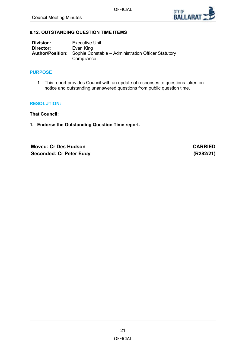

# <span id="page-20-0"></span>**8.12. OUTSTANDING QUESTION TIME ITEMS**

| Division: | <b>Executive Unit</b>                                                                     |
|-----------|-------------------------------------------------------------------------------------------|
| Director: | Evan King                                                                                 |
|           | <b>Author/Position:</b> Sophie Constable – Administration Officer Statutory<br>Compliance |

## **PURPOSE**

1. This report provides Council with an update of responses to questions taken on notice and outstanding unanswered questions from public question time.

## **RESOLUTION:**

**That Council:**

**1. Endorse the Outstanding Question Time report.**

**Moved: Cr Des Hudson CARRIED Seconded: Cr Peter Eddy (R282/21)**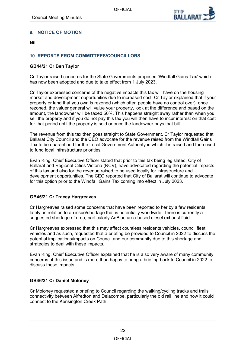

# <span id="page-21-0"></span>**9. NOTICE OF MOTION**

**Nil** 

# **10. REPORTS FROM COMMITTEES/COUNCILLORS**

# **GB44/21 Cr Ben Taylor**

Cr Taylor raised concerns for the State Governments proposed 'Windfall Gains Tax' which has now been adopted and due to take effect from 1 July 2023.

Cr Taylor expressed concerns of the negative impacts this tax will have on the housing market and development opportunities due to increased cost. Cr Taylor explained that if your property or land that you own is rezoned (which often people have no control over), once rezoned, the valuer general will value your property, look at the difference and based on the amount, the landowner will be taxed 50%. This happens straight away rather than when you sell the property and if you do not pay this tax you will then have to incur interest on that cost for that period until the property is sold or once the landowner pays that bill.

The revenue from this tax then goes straight to State Government. Cr Taylor requested that Ballarat City Council and the CEO advocate for the revenue raised from the Windfall Gains Tax to be quarantined for the Local Government Authority in which it is raised and then used to fund local infrastructure priorities.

Evan King, Chief Executive Officer stated that prior to this tax being legislated, City of Ballarat and Regional Cities Victoria (RCV), have advocated regarding the potential impacts of this tax and also for the revenue raised to be used locally for infrastructure and development opportunities. The CEO reported that City of Ballarat will continue to advocate for this option prior to the Windfall Gains Tax coming into effect in July 2023.

# **GB45/21 Cr Tracey Hargreaves**

Cr Hargreaves raised some concerns that have been reported to her by a few residents lately, in relation to an issue/shortage that is potentially worldwide. There is currently a suggested shortage of urea, particularly AdBlue urea-based diesel exhaust fluid.

Cr Hargreaves expressed that this may affect countless residents vehicles, council fleet vehicles and as such, requested that a briefing be provided to Council in 2022 to discuss the potential implications/impacts on Council and our community due to this shortage and strategies to deal with these impacts.

Evan King, Chief Executive Officer explained that he is also very aware of many community concerns of this issue and is more than happy to bring a briefing back to Council in 2022 to discuss these impacts.

# **GB46/21 Cr Daniel Moloney**

Cr Moloney requested a briefing to Council regarding the walking/cycling tracks and trails connectivity between Alfredton and Delacombe, particularly the old rail line and how it could connect to the Kensington Creek Path.